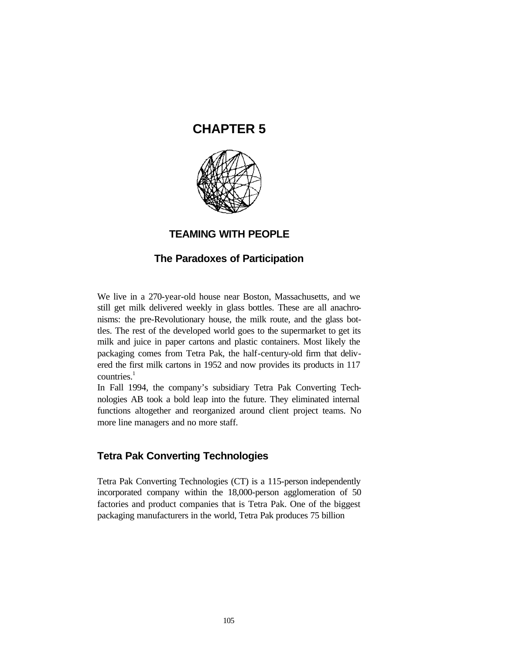# **CHAPTER 5**



## **TEAMING WITH PEOPLE**

## **The Paradoxes of Participation**

We live in a 270-year-old house near Boston, Massachusetts, and we still get milk delivered weekly in glass bottles. These are all anachronisms: the pre-Revolutionary house, the milk route, and the glass bottles. The rest of the developed world goes to the supermarket to get its milk and juice in paper cartons and plastic containers. Most likely the packaging comes from Tetra Pak, the half-century-old firm that delivered the first milk cartons in 1952 and now provides its products in 117 countries.<sup>1</sup>

In Fall 1994, the company's subsidiary Tetra Pak Converting Technologies AB took a bold leap into the future. They eliminated internal functions altogether and reorganized around client project teams. No more line managers and no more staff.

## **Tetra Pak Converting Technologies**

Tetra Pak Converting Technologies (CT) is a 115-person independently incorporated company within the 18,000-person agglomeration of 50 factories and product companies that is Tetra Pak. One of the biggest packaging manufacturers in the world, Tetra Pak produces 75 billion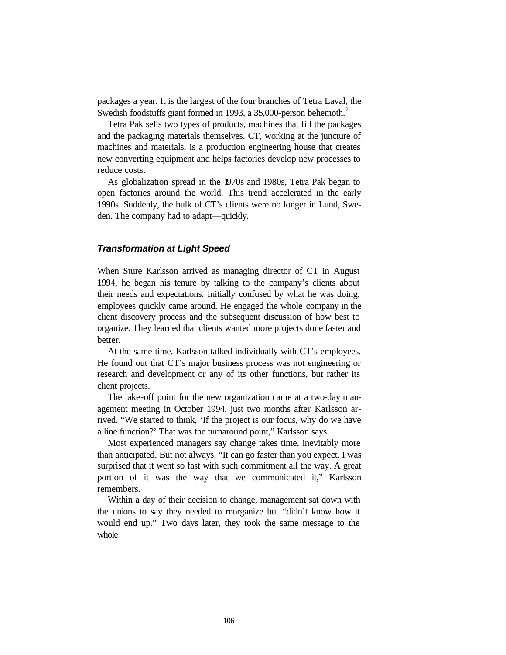packages a year. It is the largest of the four branches of Tetra Laval, the Swedish foodstuffs giant formed in 1993, a 35,000-person behemoth.<sup>2</sup>

Tetra Pak sells two types of products, machines that fill the packages and the packaging materials themselves. CT, working at the juncture of machines and materials, is a production engineering house that creates new converting equipment and helps factories develop new processes to reduce costs.

As globalization spread in the 1970s and 1980s, Tetra Pak began to open factories around the world. This trend accelerated in the early 1990s. Suddenly, the bulk of CT's clients were no longer in Lund, Sweden. The company had to adapt—quickly.

#### *Transformation at Light Speed*

When Sture Karlsson arrived as managing director of CT in August 1994, he began his tenure by talking to the company's clients about their needs and expectations. Initially confused by what he was doing, employees quickly came around. He engaged the whole company in the client discovery process and the subsequent discussion of how best to organize. They learned that clients wanted more projects done faster and better.

At the same time, Karlsson talked individually with CT's employees. He found out that CT's major business process was not engineering or research and development or any of its other functions, but rather its client projects.

The take-off point for the new organization came at a two-day management meeting in October 1994, just two months after Karlsson arrived. "We started to think, 'If the project is our focus, why do we have a line function?' That was the turnaround point," Karlsson says.

Most experienced managers say change takes time, inevitably more than anticipated. But not always. "It can go faster than you expect. I was surprised that it went so fast with such commitment all the way. A great portion of it was the way that we communicated it," Karlsson remembers.

Within a day of their decision to change, management sat down with the unions to say they needed to reorganize but "didn't know how it would end up." Two days later, they took the same message to the whole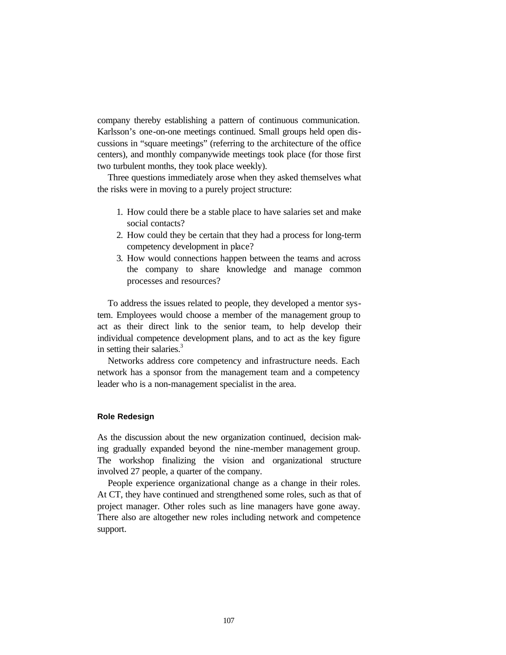company thereby establishing a pattern of continuous communication. Karlsson's one-on-one meetings continued. Small groups held open discussions in "square meetings" (referring to the architecture of the office centers), and monthly companywide meetings took place (for those first two turbulent months, they took place weekly).

Three questions immediately arose when they asked themselves what the risks were in moving to a purely project structure:

- 1. How could there be a stable place to have salaries set and make social contacts?
- 2. How could they be certain that they had a process for long-term competency development in place?
- 3. How would connections happen between the teams and across the company to share knowledge and manage common processes and resources?

To address the issues related to people, they developed a mentor system. Employees would choose a member of the management group to act as their direct link to the senior team, to help develop their individual competence development plans, and to act as the key figure in setting their salaries.<sup>3</sup>

Networks address core competency and infrastructure needs. Each network has a sponsor from the management team and a competency leader who is a non-management specialist in the area.

#### **Role Redesign**

As the discussion about the new organization continued, decision making gradually expanded beyond the nine-member management group. The workshop finalizing the vision and organizational structure involved 27 people, a quarter of the company.

People experience organizational change as a change in their roles. At CT, they have continued and strengthened some roles, such as that of project manager. Other roles such as line managers have gone away. There also are altogether new roles including network and competence support.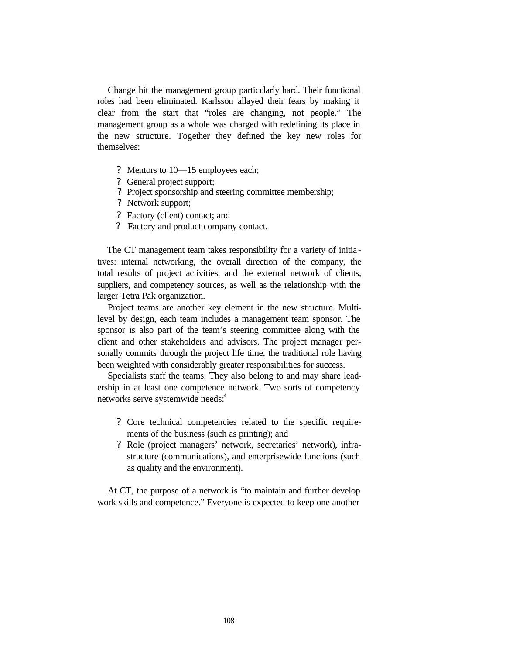Change hit the management group particularly hard. Their functional roles had been eliminated. Karlsson allayed their fears by making it clear from the start that "roles are changing, not people." The management group as a whole was charged with redefining its place in the new structure. Together they defined the key new roles for themselves:

- ? Mentors to 10—15 employees each;
- ? General project support;
- ? Project sponsorship and steering committee membership;
- ? Network support;
- ? Factory (client) contact; and
- ? Factory and product company contact.

The CT management team takes responsibility for a variety of initia tives: internal networking, the overall direction of the company, the total results of project activities, and the external network of clients, suppliers, and competency sources, as well as the relationship with the larger Tetra Pak organization.

Project teams are another key element in the new structure. Multilevel by design, each team includes a management team sponsor. The sponsor is also part of the team's steering committee along with the client and other stakeholders and advisors. The project manager personally commits through the project life time, the traditional role having been weighted with considerably greater responsibilities for success.

Specialists staff the teams. They also belong to and may share leadership in at least one competence network. Two sorts of competency networks serve systemwide needs:<sup>4</sup>

- ? Core technical competencies related to the specific requirements of the business (such as printing); and
- ? Role (project managers' network, secretaries' network), infrastructure (communications), and enterprisewide functions (such as quality and the environment).

At CT, the purpose of a network is "to maintain and further develop work skills and competence." Everyone is expected to keep one another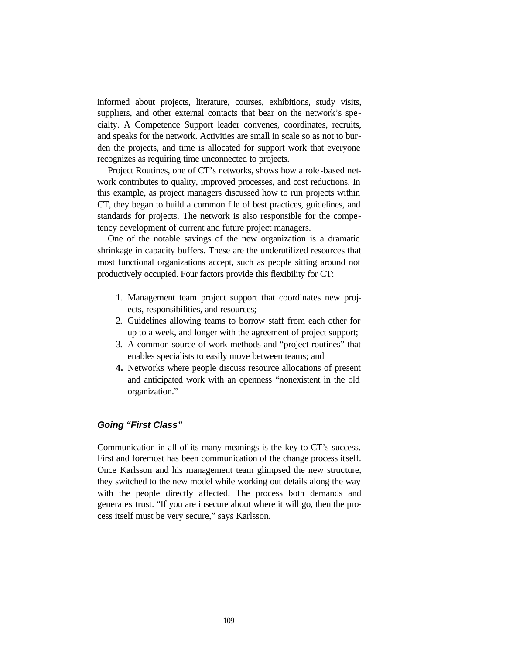informed about projects, literature, courses, exhibitions, study visits, suppliers, and other external contacts that bear on the network's specialty. A Competence Support leader convenes, coordinates, recruits, and speaks for the network. Activities are small in scale so as not to burden the projects, and time is allocated for support work that everyone recognizes as requiring time unconnected to projects.

Project Routines, one of CT's networks, shows how a role -based network contributes to quality, improved processes, and cost reductions. In this example, as project managers discussed how to run projects within CT, they began to build a common file of best practices, guidelines, and standards for projects. The network is also responsible for the competency development of current and future project managers.

One of the notable savings of the new organization is a dramatic shrinkage in capacity buffers. These are the underutilized resources that most functional organizations accept, such as people sitting around not productively occupied. Four factors provide this flexibility for CT:

- 1. Management team project support that coordinates new projects, responsibilities, and resources;
- 2. Guidelines allowing teams to borrow staff from each other for up to a week, and longer with the agreement of project support;
- 3. A common source of work methods and "project routines" that enables specialists to easily move between teams; and
- **4.** Networks where people discuss resource allocations of present and anticipated work with an openness "nonexistent in the old organization."

### *Going "First Class"*

Communication in all of its many meanings is the key to CT's success. First and foremost has been communication of the change process itself. Once Karlsson and his management team glimpsed the new structure, they switched to the new model while working out details along the way with the people directly affected. The process both demands and generates trust. "If you are insecure about where it will go, then the process itself must be very secure," says Karlsson.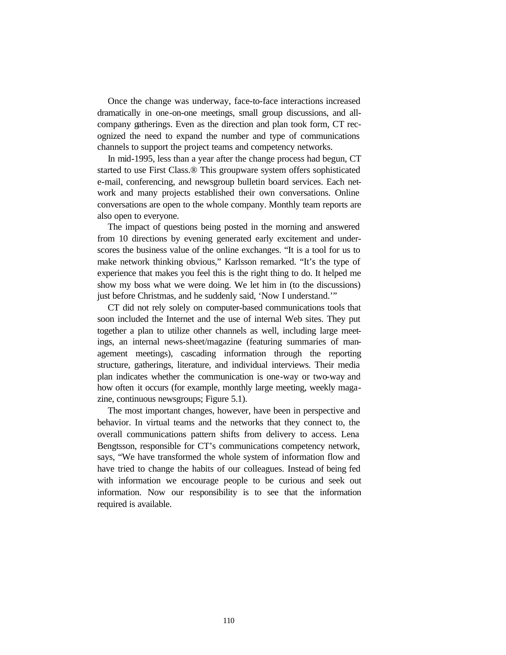Once the change was underway, face-to-face interactions increased dramatically in one-on-one meetings, small group discussions, and allcompany gatherings. Even as the direction and plan took form, CT recognized the need to expand the number and type of communications channels to support the project teams and competency networks.

In mid-1995, less than a year after the change process had begun, CT started to use First Class.® This groupware system offers sophisticated e-mail, conferencing, and newsgroup bulletin board services. Each network and many projects established their own conversations. Online conversations are open to the whole company. Monthly team reports are also open to everyone.

The impact of questions being posted in the morning and answered from 10 directions by evening generated early excitement and underscores the business value of the online exchanges. "It is a tool for us to make network thinking obvious," Karlsson remarked. "It's the type of experience that makes you feel this is the right thing to do. It helped me show my boss what we were doing. We let him in (to the discussions) just before Christmas, and he suddenly said, 'Now I understand.'"

CT did not rely solely on computer-based communications tools that soon included the Internet and the use of internal Web sites. They put together a plan to utilize other channels as well, including large meetings, an internal news-sheet/magazine (featuring summaries of management meetings), cascading information through the reporting structure, gatherings, literature, and individual interviews. Their media plan indicates whether the communication is one-way or two-way and how often it occurs (for example, monthly large meeting, weekly magazine, continuous newsgroups; Figure 5.1).

The most important changes, however, have been in perspective and behavior. In virtual teams and the networks that they connect to, the overall communications pattern shifts from delivery to access. Lena Bengtsson, responsible for CT's communications competency network, says, "We have transformed the whole system of information flow and have tried to change the habits of our colleagues. Instead of being fed with information we encourage people to be curious and seek out information. Now our responsibility is to see that the information required is available.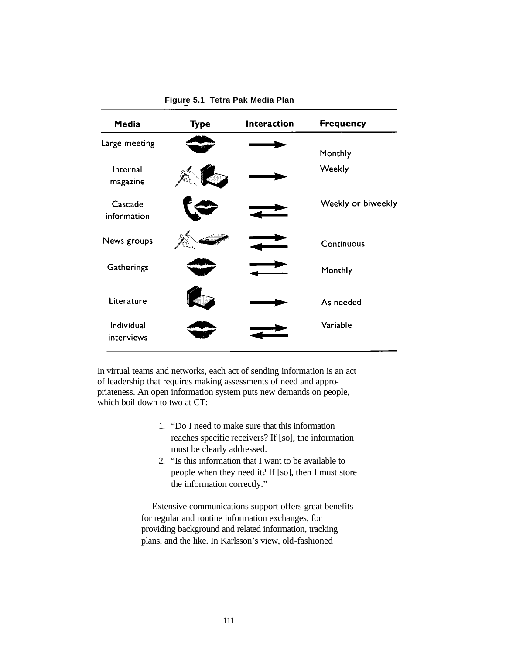| Media                    | <b>Type</b> | Interaction | Frequency          |
|--------------------------|-------------|-------------|--------------------|
| Large meeting            |             |             | Monthly            |
| Internal<br>magazine     |             |             | Weekly             |
| Cascade<br>information   |             |             | Weekly or biweekly |
| News groups              |             |             | Continuous         |
| Gatherings               |             |             | Monthly            |
| Literature               |             |             | As needed          |
| Individual<br>interviews |             |             | Variable           |

**Figure 5.1 Tetra Pak Media Plan**

In virtual teams and networks, each act of sending information is an act of leadership that requires making assessments of need and appropriateness. An open information system puts new demands on people, which boil down to two at CT:

- 1. "Do I need to make sure that this information reaches specific receivers? If [so], the information must be clearly addressed.
- 2. "Is this information that I want to be available to people when they need it? If [so], then I must store the information correctly."

Extensive communications support offers great benefits for regular and routine information exchanges, for providing background and related information, tracking plans, and the like. In Karlsson's view, old-fashioned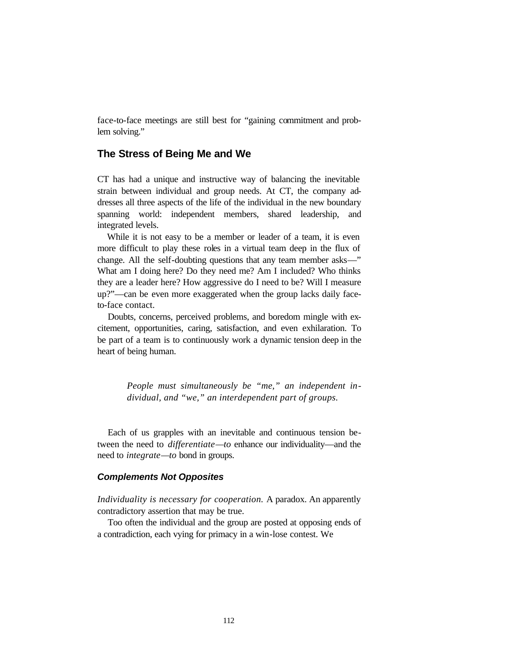face-to-face meetings are still best for "gaining commitment and problem solving."

## **The Stress of Being Me and We**

CT has had a unique and instructive way of balancing the inevitable strain between individual and group needs. At CT, the company addresses all three aspects of the life of the individual in the new boundary spanning world: independent members, shared leadership, and integrated levels.

While it is not easy to be a member or leader of a team, it is even more difficult to play these roles in a virtual team deep in the flux of change. All the self-doubting questions that any team member asks—" What am I doing here? Do they need me? Am I included? Who thinks they are a leader here? How aggressive do I need to be? Will I measure up?"—can be even more exaggerated when the group lacks daily faceto-face contact.

Doubts, concerns, perceived problems, and boredom mingle with excitement, opportunities, caring, satisfaction, and even exhilaration. To be part of a team is to continuously work a dynamic tension deep in the heart of being human.

> *People must simultaneously be "me," an independent individual, and "we," an interdependent part of groups.*

Each of us grapples with an inevitable and continuous tension between the need to *differentiate—to* enhance our individuality—and the need to *integrate—to* bond in groups.

#### *Complements Not Opposites*

*Individuality is necessary for cooperation.* A paradox. An apparently contradictory assertion that may be true.

Too often the individual and the group are posted at opposing ends of a contradiction, each vying for primacy in a win-lose contest. We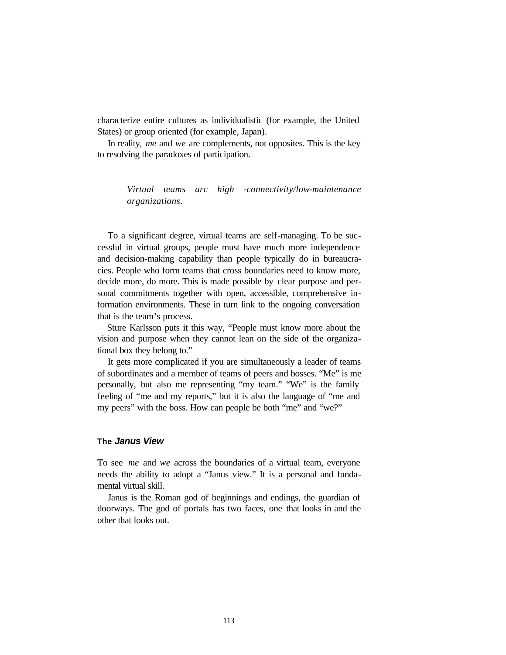characterize entire cultures as individualistic (for example, the United States) or group oriented (for example, Japan).

In reality, *me* and *we* are complements, not opposites. This is the key to resolving the paradoxes of participation.

> *Virtual teams arc high -connectivity/low-maintenance organizations.*

To a significant degree, virtual teams are self-managing. To be successful in virtual groups, people must have much more independence and decision-making capability than people typically do in bureaucracies. People who form teams that cross boundaries need to know more, decide more, do more. This is made possible by clear purpose and personal commitments together with open, accessible, comprehensive information environments. These in turn link to the ongoing conversation that is the team's process.

Sture Karlsson puts it this way, "People must know more about the vision and purpose when they cannot lean on the side of the organizational box they belong to."

It gets more complicated if you are simultaneously a leader of teams of subordinates and a member of teams of peers and bosses. "Me" is me personally, but also me representing "my team." "We" is the family feeling of "me and my reports," but it is also the language of "me and my peers" with the boss. How can people be both "me" and "we?"

#### **The** *Janus View*

To see *me* and *we* across the boundaries of a virtual team, everyone needs the ability to adopt a "Janus view." It is a personal and fundamental virtual skill.

Janus is the Roman god of beginnings and endings, the guardian of doorways. The god of portals has two faces, one that looks in and the other that looks out.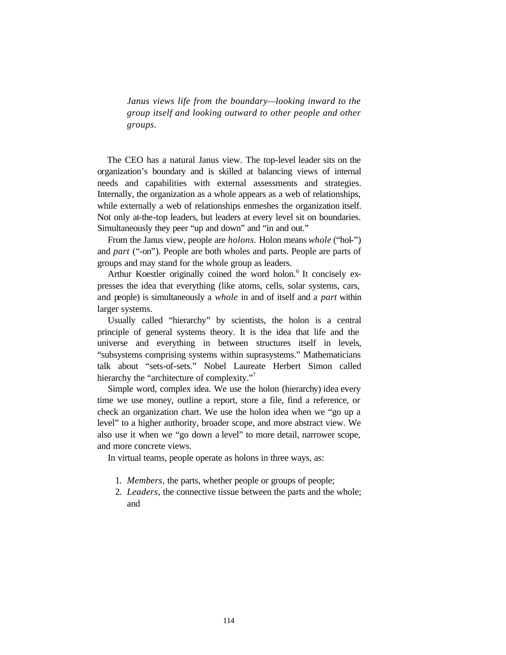*Janus views life from the boundary—looking inward to the group itself and looking outward to other people and other groups.*

The CEO has a natural Janus view. The top-level leader sits on the organization's boundary and is skilled at balancing views of internal needs and capabilities with external assessments and strategies. Internally, the organization as a whole appears as a web of relationships, while externally a web of relationships enmeshes the organization itself. Not only at-the-top leaders, but leaders at every level sit on boundaries. Simultaneously they peer "up and down" and "in and out."

From the Janus view, people are *holons.* Holon means *whole* ("hol-") and *part* ("-on"). People are both wholes and parts. People are parts of groups and may stand for the whole group as leaders.

Arthur Koestler originally coined the word holon.<sup>6</sup> It concisely expresses the idea that everything (like atoms, cells, solar systems, cars, and people) is simultaneously a *whole* in and of itself and a *part* within larger systems.

Usually called "hierarchy" by scientists, the holon is a central principle of general systems theory. It is the idea that life and the universe and everything in between structures itself in levels, "subsystems comprising systems within suprasystems." Mathematicians talk about "sets-of-sets." Nobel Laureate Herbert Simon called hierarchy the "architecture of complexity."<sup>7</sup>

Simple word, complex idea. We use the holon (hierarchy) idea every time we use money, outline a report, store a file, find a reference, or check an organization chart. We use the holon idea when we "go up a level" to a higher authority, broader scope, and more abstract view. We also use it when we "go down a level" to more detail, narrower scope, and more concrete views.

In virtual teams, people operate as holons in three ways, as:

- 1. *Members,* the parts, whether people or groups of people;
- 2. *Leaders,* the connective tissue between the parts and the whole; and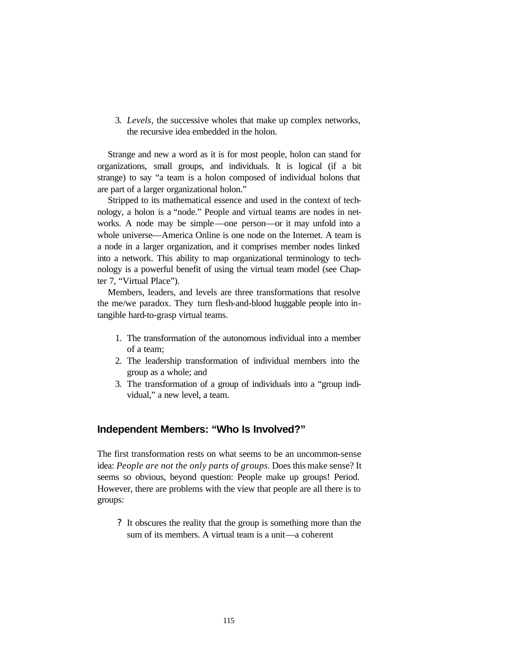3. *Levels,* the successive wholes that make up complex networks, the recursive idea embedded in the holon.

Strange and new a word as it is for most people, holon can stand for organizations, small groups, and individuals. It is logical (if a bit strange) to say "a team is a holon composed of individual holons that are part of a larger organizational holon."

Stripped to its mathematical essence and used in the context of technology, a holon is a "node." People and virtual teams are nodes in networks. A node may be simple—one person—or it may unfold into a whole universe—America Online is one node on the Internet. A team is a node in a larger organization, and it comprises member nodes linked into a network. This ability to map organizational terminology to technology is a powerful benefit of using the virtual team model (see Chapter 7, "Virtual Place").

Members, leaders, and levels are three transformations that resolve the me/we paradox. They turn flesh-and-blood huggable people into intangible hard-to-grasp virtual teams.

- 1. The transformation of the autonomous individual into a member of a team;
- 2. The leadership transformation of individual members into the group as a whole; and
- 3. The transformation of a group of individuals into a "group individual," a new level, a team.

## **Independent Members: "Who Is Involved?"**

The first transformation rests on what seems to be an uncommon-sense idea: *People are not the only parts of groups.* Does this make sense? It seems so obvious, beyond question: People make up groups! Period. However, there are problems with the view that people are all there is to groups:

? It obscures the reality that the group is something more than the sum of its members. A virtual team is a unit—a coherent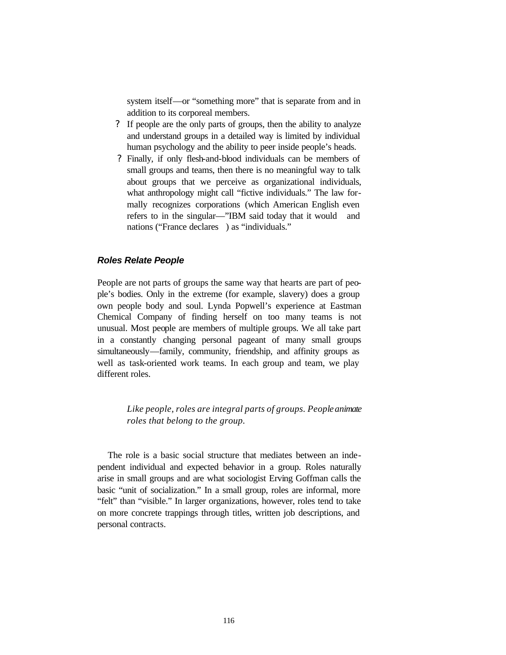system itself—or "something more" that is separate from and in addition to its corporeal members.

- ? If people are the only parts of groups, then the ability to analyze and understand groups in a detailed way is limited by individual human psychology and the ability to peer inside people's heads.
- ? Finally, if only flesh-and-blood individuals can be members of small groups and teams, then there is no meaningful way to talk about groups that we perceive as organizational individuals, what anthropology might call "fictive individuals." The law formally recognizes corporations (which American English even refers to in the singular—"IBM said today that it would and nations ("France declares ) as "individuals."

#### *Roles Relate People*

People are not parts of groups the same way that hearts are part of people's bodies. Only in the extreme (for example, slavery) does a group own people body and soul. Lynda Popwell's experience at Eastman Chemical Company of finding herself on too many teams is not unusual. Most people are members of multiple groups. We all take part in a constantly changing personal pageant of many small groups simultaneously—family, community, friendship, and affinity groups as well as task-oriented work teams. In each group and team, we play different roles.

> *Like people, roles are integral parts of groups. People animate roles that belong to the group.*

The role is a basic social structure that mediates between an independent individual and expected behavior in a group. Roles naturally arise in small groups and are what sociologist Erving Goffman calls the basic "unit of socialization." In a small group, roles are informal, more "felt" than "visible." In larger organizations, however, roles tend to take on more concrete trappings through titles, written job descriptions, and personal contracts.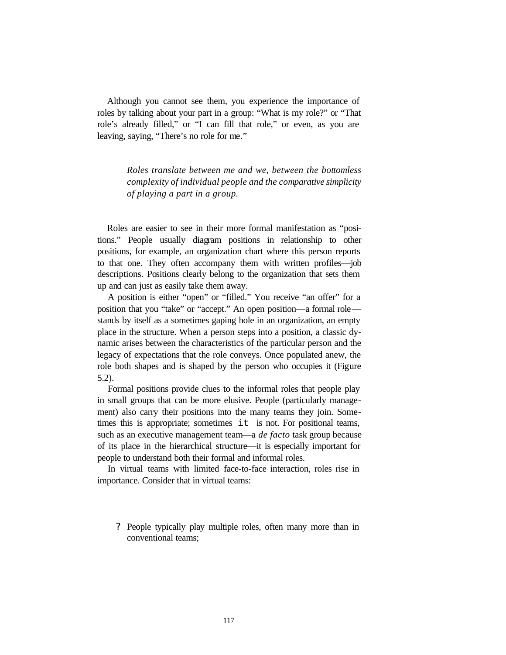Although you cannot see them, you experience the importance of roles by talking about your part in a group: "What is my role?" or "That role's already filled," or "I can fill that role," or even, as you are leaving, saying, "There's no role for me."

> *Roles translate between me and we, between the bottomless complexity of individual people and the comparative simplicity of playing a part in a group.*

Roles are easier to see in their more formal manifestation as "positions." People usually diagram positions in relationship to other positions, for example, an organization chart where this person reports to that one. They often accompany them with written profiles—job descriptions. Positions clearly belong to the organization that sets them up and can just as easily take them away.

A position is either "open" or "filled." You receive "an offer" for a position that you "take" or "accept." An open position—a formal role stands by itself as a sometimes gaping hole in an organization, an empty place in the structure. When a person steps into a position, a classic dynamic arises between the characteristics of the particular person and the legacy of expectations that the role conveys. Once populated anew, the role both shapes and is shaped by the person who occupies it (Figure 5.2).

Formal positions provide clues to the informal roles that people play in small groups that can be more elusive. People (particularly management) also carry their positions into the many teams they join. Sometimes this is appropriate; sometimes it is not. For positional teams, such as an executive management team—a *de facto* task group because of its place in the hierarchical structure—it is especially important for people to understand both their formal and informal roles.

In virtual teams with limited face-to-face interaction, roles rise in importance. Consider that in virtual teams:

? People typically play multiple roles, often many more than in conventional teams;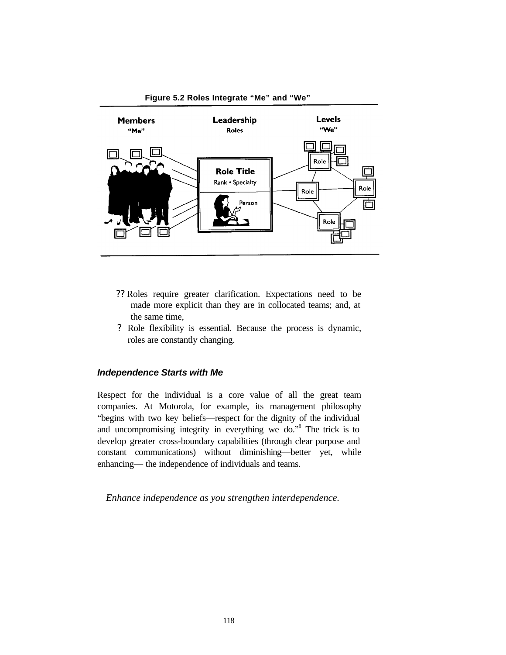

**Figure 5.2 Roles Integrate "Me" and "We"**

- ?? Roles require greater clarification. Expectations need to be made more explicit than they are in collocated teams; and, at the same time,
- ? Role flexibility is essential. Because the process is dynamic, roles are constantly changing.

#### *Independence Starts with Me*

Respect for the individual is a core value of all the great team companies. At Motorola, for example, its management philosophy "begins with two key beliefs—respect for the dignity of the individual and uncompromising integrity in everything we do."<sup>8</sup> The trick is to develop greater cross-boundary capabilities (through clear purpose and constant communications) without diminishing—better yet, while enhancing— the independence of individuals and teams.

*Enhance independence as you strengthen interdependence.*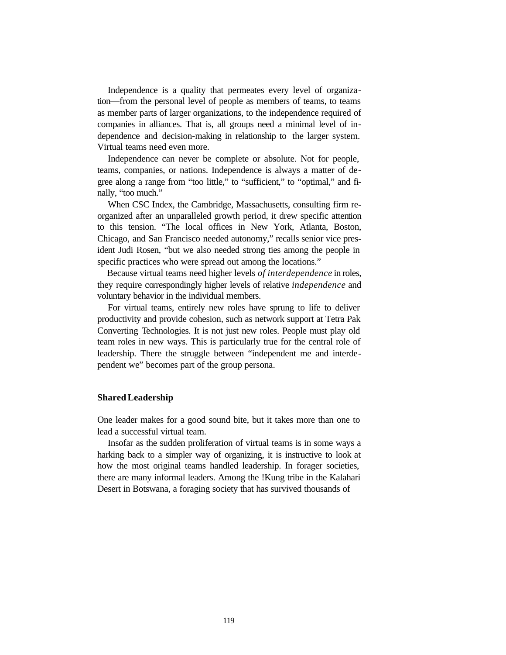Independence is a quality that permeates every level of organization—from the personal level of people as members of teams, to teams as member parts of larger organizations, to the independence required of companies in alliances. That is, all groups need a minimal level of independence and decision-making in relationship to the larger system. Virtual teams need even more.

Independence can never be complete or absolute. Not for people, teams, companies, or nations. Independence is always a matter of degree along a range from "too little," to "sufficient," to "optimal," and finally, "too much."

When CSC Index, the Cambridge, Massachusetts, consulting firm reorganized after an unparalleled growth period, it drew specific attention to this tension. "The local offices in New York, Atlanta, Boston, Chicago, and San Francisco needed autonomy," recalls senior vice president Judi Rosen, "but we also needed strong ties among the people in specific practices who were spread out among the locations."

Because virtual teams need higher levels *of interdependence* in roles, they require correspondingly higher levels of relative *independence* and voluntary behavior in the individual members.

For virtual teams, entirely new roles have sprung to life to deliver productivity and provide cohesion, such as network support at Tetra Pak Converting Technologies. It is not just new roles. People must play old team roles in new ways. This is particularly true for the central role of leadership. There the struggle between "independent me and interdependent we" becomes part of the group persona.

#### **Shared Leadership**

One leader makes for a good sound bite, but it takes more than one to lead a successful virtual team.

Insofar as the sudden proliferation of virtual teams is in some ways a harking back to a simpler way of organizing, it is instructive to look at how the most original teams handled leadership. In forager societies, there are many informal leaders. Among the !Kung tribe in the Kalahari Desert in Botswana, a foraging society that has survived thousands of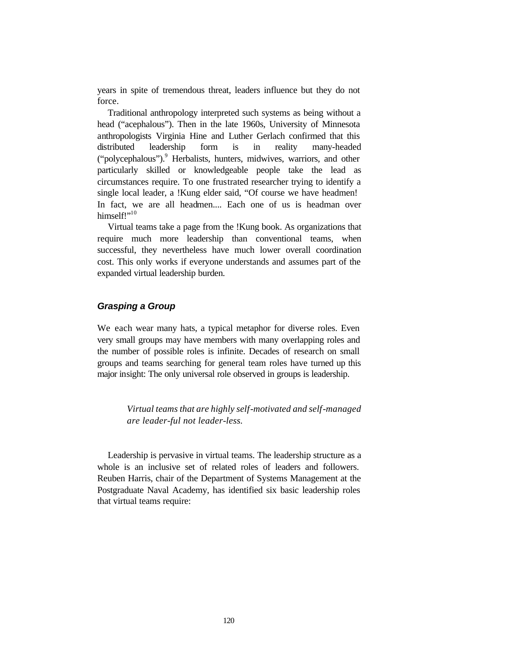years in spite of tremendous threat, leaders influence but they do not force.

Traditional anthropology interpreted such systems as being without a head ("acephalous"). Then in the late 1960s, University of Minnesota anthropologists Virginia Hine and Luther Gerlach confirmed that this distributed leadership form is in reality many-headed ("polycephalous").<sup>9</sup> Herbalists, hunters, midwives, warriors, and other particularly skilled or knowledgeable people take the lead as circumstances require. To one frustrated researcher trying to identify a single local leader, a !Kung elder said, "Of course we have headmen! In fact, we are all headmen.... Each one of us is headman over himself!"<sup>10</sup>

Virtual teams take a page from the !Kung book. As organizations that require much more leadership than conventional teams, when successful, they nevertheless have much lower overall coordination cost. This only works if everyone understands and assumes part of the expanded virtual leadership burden.

## *Grasping a Group*

We each wear many hats, a typical metaphor for diverse roles. Even very small groups may have members with many overlapping roles and the number of possible roles is infinite. Decades of research on small groups and teams searching for general team roles have turned up this major insight: The only universal role observed in groups is leadership.

> *Virtual teams that are highly self-motivated and self-managed are leader-ful not leader-less.*

Leadership is pervasive in virtual teams. The leadership structure as a whole is an inclusive set of related roles of leaders and followers. Reuben Harris, chair of the Department of Systems Management at the Postgraduate Naval Academy, has identified six basic leadership roles that virtual teams require: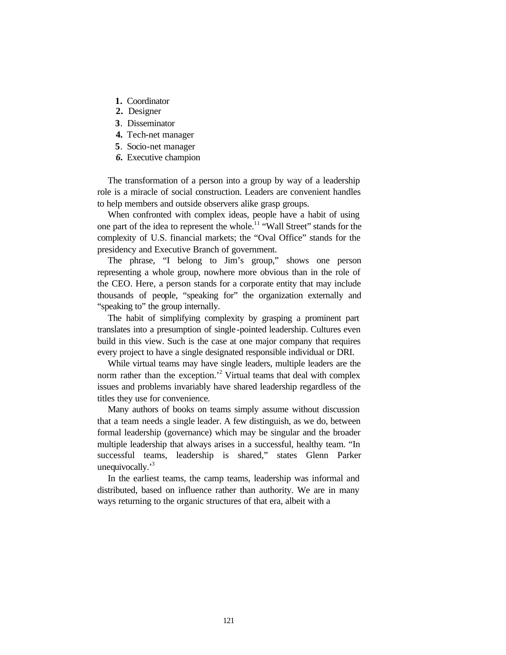- **1.** Coordinator
- **2.** Designer
- **3**. Disseminator
- **4***.* Tech-net manager
- **5**. Socio-net manager
- *6.* Executive champion

The transformation of a person into a group by way of a leadership role is a miracle of social construction. Leaders are convenient handles to help members and outside observers alike grasp groups.

When confronted with complex ideas, people have a habit of using one part of the idea to represent the whole.<sup>11</sup> "Wall Street" stands for the complexity of U.S. financial markets; the "Oval Office" stands for the presidency and Executive Branch of government.

The phrase, "I belong to Jim's group," shows one person representing a whole group, nowhere more obvious than in the role of the CEO. Here, a person stands for a corporate entity that may include thousands of people, "speaking for" the organization externally and "speaking to" the group internally.

The habit of simplifying complexity by grasping a prominent part translates into a presumption of single-pointed leadership. Cultures even build in this view. Such is the case at one major company that requires every project to have a single designated responsible individual or DRI.

While virtual teams may have single leaders, multiple leaders are the norm rather than the exception.<sup>2</sup> Virtual teams that deal with complex issues and problems invariably have shared leadership regardless of the titles they use for convenience.

Many authors of books on teams simply assume without discussion that a team needs a single leader. A few distinguish, as we do, between formal leadership (governance) which may be singular and the broader multiple leadership that always arises in a successful, healthy team. "In successful teams, leadership is shared," states Glenn Parker unequivocally.'<sup>3</sup>

In the earliest teams, the camp teams, leadership was informal and distributed, based on influence rather than authority. We are in many ways returning to the organic structures of that era, albeit with a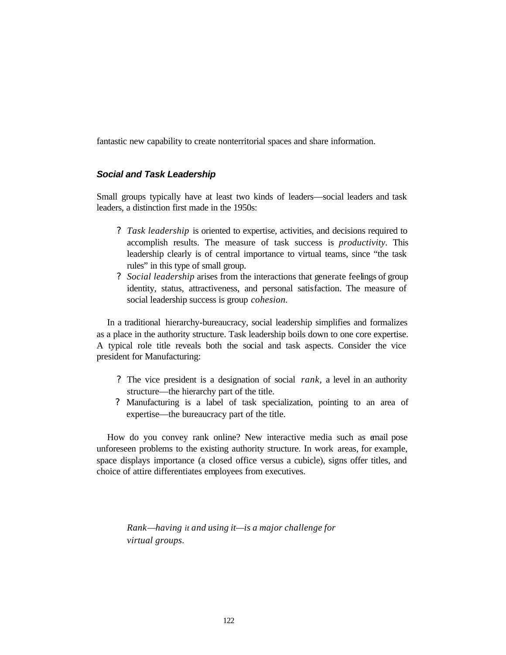fantastic new capability to create nonterritorial spaces and share information.

#### *Social and Task Leadership*

Small groups typically have at least two kinds of leaders—social leaders and task leaders, a distinction first made in the 1950s:

- *? Task leadership* is oriented to expertise, activities, and decisions required to accomplish results. The measure of task success is *productivity.* This leadership clearly is of central importance to virtual teams, since "the task rules" in this type of small group.
- *? Social leadership* arises from the interactions that generate feelings of group identity, status, attractiveness, and personal satisfaction. The measure of social leadership success is group *cohesion.*

In a traditional hierarchy-bureaucracy, social leadership simplifies and formalizes as a place in the authority structure. Task leadership boils down to one core expertise. A typical role title reveals both the social and task aspects. Consider the vice president for Manufacturing:

- ? The vice president is a designation of social *rank,* a level in an authority structure—the hierarchy part of the title.
- ? Manufacturing is a label of task specialization, pointing to an area of expertise—the bureaucracy part of the title.

How do you convey rank online? New interactive media such as email pose unforeseen problems to the existing authority structure. In work areas, for example, space displays importance (a closed office versus a cubicle), signs offer titles, and choice of attire differentiates employees from executives.

*Rank—having it and using it—is a major challenge for virtual groups.*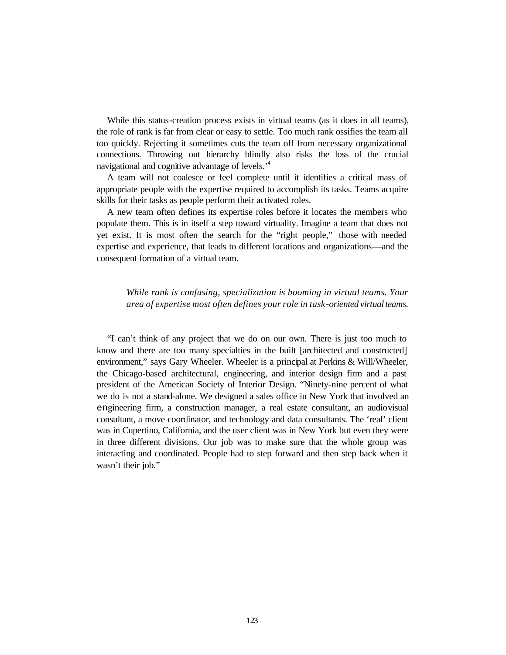While this status-creation process exists in virtual teams (as it does in all teams), the role of rank is far from clear or easy to settle. Too much rank ossifies the team all too quickly. Rejecting it sometimes cuts the team off from necessary organizational connections. Throwing out hierarchy blindly also risks the loss of the crucial navigational and cognitive advantage of levels.<sup>4</sup>

A team will not coalesce or feel complete until it identifies a critical mass of appropriate people with the expertise required to accomplish its tasks. Teams acquire skills for their tasks as people perform their activated roles.

A new team often defines its expertise roles before it locates the members who populate them. This is in itself a step toward virtuality. Imagine a team that does not yet exist. It is most often the search for the "right people," those with needed expertise and experience, that leads to different locations and organizations—and the consequent formation of a virtual team.

## *While rank is confusing, specialization is booming in virtual teams. Your area of expertise most often defines your role in task-oriented virtual teams.*

"I can't think of any project that we do on our own. There is just too much to know and there are too many specialties in the built [architected and constructed] environment," says Gary Wheeler. Wheeler is a principal at Perkins & Will/Wheeler, the Chicago-based architectural, engineering, and interior design firm and a past president of the American Society of Interior Design. "Ninety-nine percent of what we do is not a stand-alone. We designed a sales office in New York that involved an engineering firm, a construction manager, a real estate consultant, an audiovisual consultant, a move coordinator, and technology and data consultants. The 'real' client was in Cupertino, California, and the user client was in New York but even they were in three different divisions. Our job was to make sure that the whole group was interacting and coordinated. People had to step forward and then step back when it wasn't their job."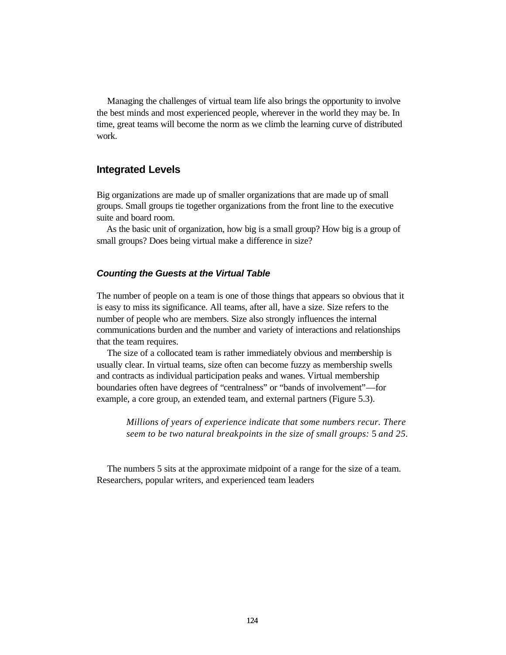Managing the challenges of virtual team life also brings the opportunity to involve the best minds and most experienced people, wherever in the world they may be. In time, great teams will become the norm as we climb the learning curve of distributed work.

## **Integrated Levels**

Big organizations are made up of smaller organizations that are made up of small groups. Small groups tie together organizations from the front line to the executive suite and board room.

As the basic unit of organization, how big is a small group? How big is a group of small groups? Does being virtual make a difference in size?

#### *Counting the Guests at the Virtual Table*

The number of people on a team is one of those things that appears so obvious that it is easy to miss its significance. All teams, after all, have a size. Size refers to the number of people who are members. Size also strongly influences the internal communications burden and the number and variety of interactions and relationships that the team requires.

The size of a collocated team is rather immediately obvious and membership is usually clear. In virtual teams, size often can become fuzzy as membership swells and contracts as individual participation peaks and wanes. Virtual membership boundaries often have degrees of "centralness" or "bands of involvement"—for example, a core group, an extended team, and external partners (Figure 5.3).

*Millions of years of experience indicate that some numbers recur. There seem to be two natural breakpoints in the size of small groups:* 5 *and 25.*

The numbers 5 sits at the approximate midpoint of a range for the size of a team. Researchers, popular writers, and experienced team leaders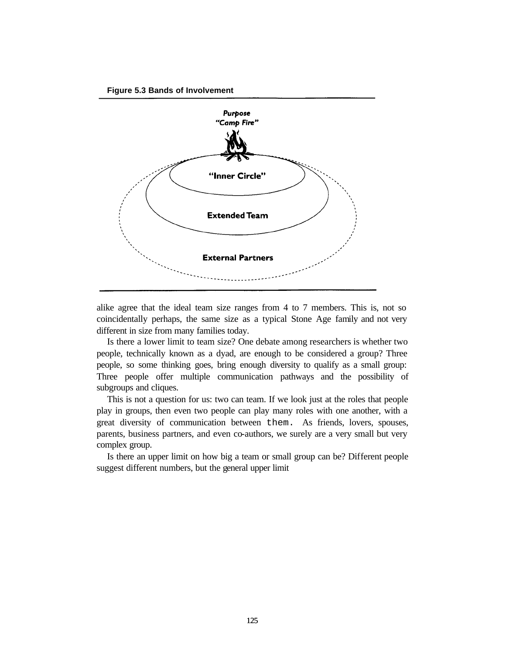



alike agree that the ideal team size ranges from 4 to 7 members. This is, not so coincidentally perhaps, the same size as a typical Stone Age family and not very different in size from many families today.

Is there a lower limit to team size? One debate among researchers is whether two people, technically known as a dyad, are enough to be considered a group? Three people, so some thinking goes, bring enough diversity to qualify as a small group: Three people offer multiple communication pathways and the possibility of subgroups and cliques.

This is not a question for us: two can team. If we look just at the roles that people play in groups, then even two people can play many roles with one another, with a great diversity of communication between them. As friends, lovers, spouses, parents, business partners, and even co-authors, we surely are a very small but very complex group.

Is there an upper limit on how big a team or small group can be? Different people suggest different numbers, but the general upper limit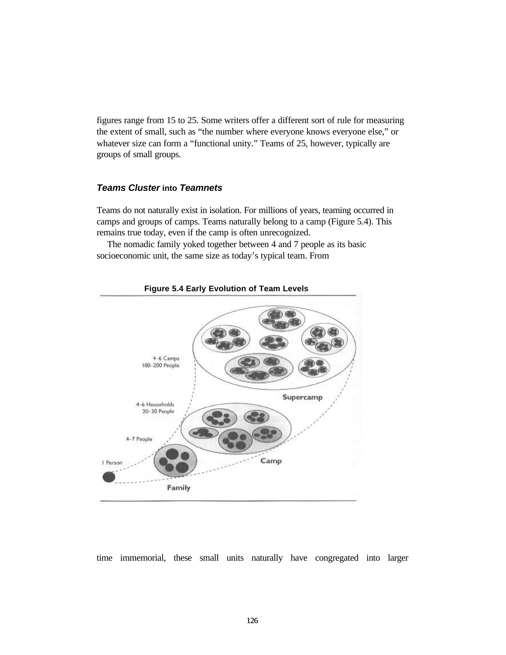figures range from 15 to 25. Some writers offer a different sort of rule for measuring the extent of small, such as "the number where everyone knows everyone else," or whatever size can form a "functional unity." Teams of 25, however, typically are groups of small groups.

## *Teams Cluster* **into** *Teamnets*

Teams do not naturally exist in isolation. For millions of years, teaming occurred in camps and groups of camps. Teams naturally belong to a camp (Figure 5.4). This remains true today, even if the camp is often unrecognized.

The nomadic family yoked together between 4 and 7 people as its basic socioeconomic unit, the same size as today's typical team. From





time immemorial, these small units naturally have congregated into larger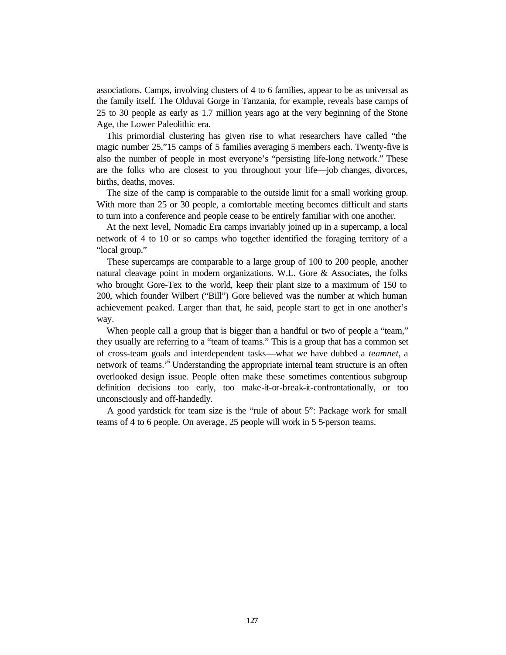associations. Camps, involving clusters of 4 to 6 families, appear to be as universal as the family itself. The Olduvai Gorge in Tanzania, for example, reveals base camps of 25 to 30 people as early as 1.7 million years ago at the very beginning of the Stone Age, the Lower Paleolithic era.

This primordial clustering has given rise to what researchers have called "the magic number 25,"15 camps of 5 families averaging 5 members each. Twenty-five is also the number of people in most everyone's "persisting life-long network." These are the folks who are closest to you throughout your life—job changes, divorces, births, deaths, moves.

The size of the camp is comparable to the outside limit for a small working group. With more than 25 or 30 people, a comfortable meeting becomes difficult and starts to turn into a conference and people cease to be entirely familiar with one another.

At the next level, Nomadic Era camps invariably joined up in a supercamp, a local network of 4 to 10 or so camps who together identified the foraging territory of a "local group."

These supercamps are comparable to a large group of 100 to 200 people, another natural cleavage point in modern organizations. W.L. Gore & Associates, the folks who brought Gore-Tex to the world, keep their plant size to a maximum of 150 to 200, which founder Wilbert ("Bill") Gore believed was the number at which human achievement peaked. Larger than that, he said, people start to get in one another's way.

When people call a group that is bigger than a handful or two of people a "team," they usually are referring to a "team of teams." This is a group that has a common set of cross-team goals and interdependent tasks—what we have dubbed a *teamnet,* a network of teams.<sup>'6</sup> Understanding the appropriate internal team structure is an often overlooked design issue. People often make these sometimes contentious subgroup definition decisions too early, too make-it-or-break-it-confrontationally, or too unconsciously and off-handedly.

A good yardstick for team size is the "rule of about 5": Package work for small teams of 4 to 6 people. On average, 25 people will work in 5 5-person teams.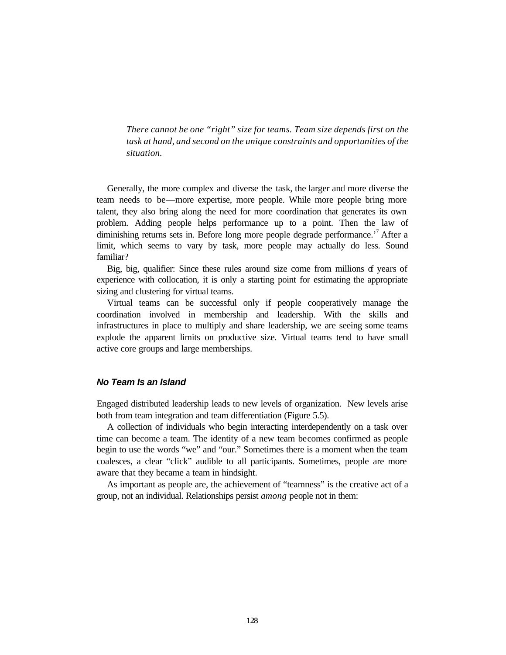*There cannot be one "right" size for teams. Team size depends first on the task at hand, and second on the unique constraints and opportunities of the situation.*

Generally, the more complex and diverse the task, the larger and more diverse the team needs to be—more expertise, more people. While more people bring more talent, they also bring along the need for more coordination that generates its own problem. Adding people helps performance up to a point. Then the law of diminishing returns sets in. Before long more people degrade performance.<sup>7</sup> After a limit, which seems to vary by task, more people may actually do less. Sound familiar?

Big, big, qualifier: Since these rules around size come from millions of years of experience with collocation, it is only a starting point for estimating the appropriate sizing and clustering for virtual teams.

Virtual teams can be successful only if people cooperatively manage the coordination involved in membership and leadership. With the skills and infrastructures in place to multiply and share leadership, we are seeing some teams explode the apparent limits on productive size. Virtual teams tend to have small active core groups and large memberships.

#### *No Team Is an Island*

Engaged distributed leadership leads to new levels of organization. New levels arise both from team integration and team differentiation (Figure 5.5).

A collection of individuals who begin interacting interdependently on a task over time can become a team. The identity of a new team becomes confirmed as people begin to use the words "we" and "our." Sometimes there is a moment when the team coalesces, a clear "click" audible to all participants. Sometimes, people are more aware that they became a team in hindsight.

As important as people are, the achievement of "teamness" is the creative act of a group, not an individual. Relationships persist *among* people not in them: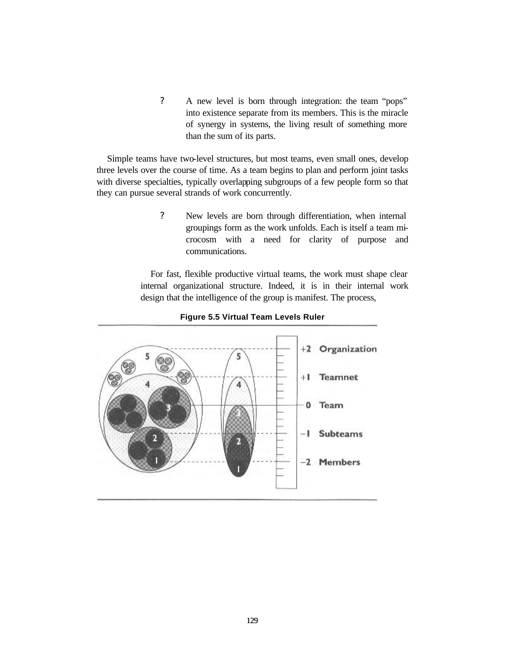? A new level is born through integration: the team "pops" into existence separate from its members. This is the miracle of synergy in systems, the living result of something more than the sum of its parts.

Simple teams have two-level structures, but most teams, even small ones, develop three levels over the course of time. As a team begins to plan and perform joint tasks with diverse specialties, typically overlapping subgroups of a few people form so that they can pursue several strands of work concurrently.

> ? New levels are born through differentiation, when internal groupings form as the work unfolds. Each is itself a team microcosm with a need for clarity of purpose and communications.

For fast, flexible productive virtual teams, the work must shape clear internal organizational structure. Indeed, it is in their internal work design that the intelligence of the group is manifest. The process,



**Figure 5.5 Virtual Team Levels Ruler**